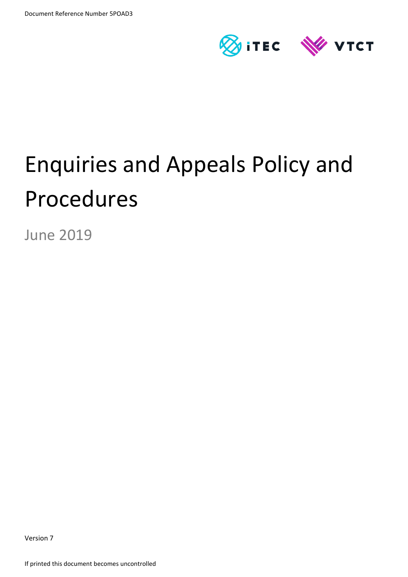

# Enquiries and Appeals Policy and Procedures

June 2019

Version 7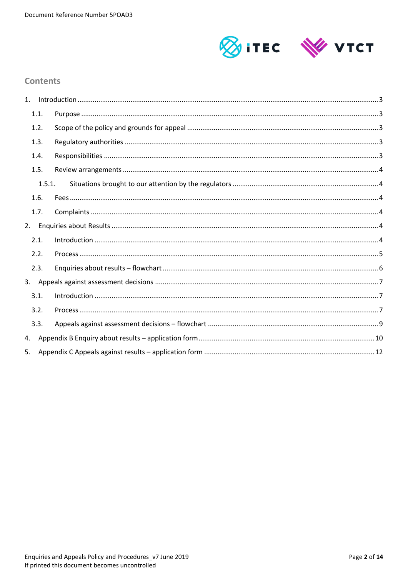

### **Contents**

| 1. |        |  |
|----|--------|--|
|    | 1.1.   |  |
|    | 1.2.   |  |
|    | 1.3.   |  |
|    | 1.4.   |  |
|    | 1.5.   |  |
|    | 1.5.1. |  |
|    | 1.6.   |  |
|    | 1.7.   |  |
| 2. |        |  |
|    | 2.1.   |  |
|    | 2.2.   |  |
|    | 2.3.   |  |
|    |        |  |
|    | 3.1.   |  |
|    | 3.2.   |  |
|    | 3.3.   |  |
| 4. |        |  |
| 5. |        |  |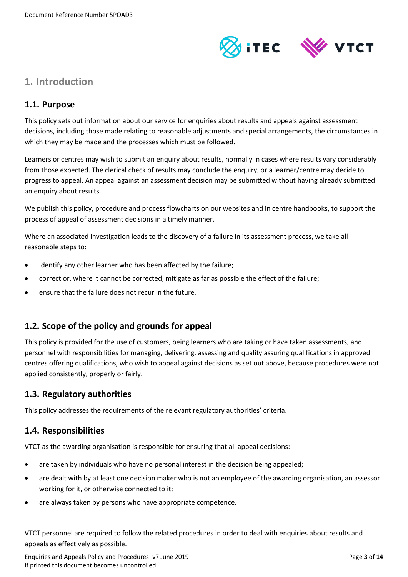

# <span id="page-2-0"></span>**1. Introduction**

## <span id="page-2-1"></span>**1.1. Purpose**

This policy sets out information about our service for enquiries about results and appeals against assessment decisions, including those made relating to reasonable adjustments and special arrangements, the circumstances in which they may be made and the processes which must be followed.

Learners or centres may wish to submit an enquiry about results, normally in cases where results vary considerably from those expected. The clerical check of results may conclude the enquiry, or a learner/centre may decide to progress to appeal. An appeal against an assessment decision may be submitted without having already submitted an enquiry about results.

We publish this policy, procedure and process flowcharts on our websites and in centre handbooks, to support the process of appeal of assessment decisions in a timely manner.

Where an associated investigation leads to the discovery of a failure in its assessment process, we take all reasonable steps to:

- identify any other learner who has been affected by the failure;
- correct or, where it cannot be corrected, mitigate as far as possible the effect of the failure;
- ensure that the failure does not recur in the future.

# <span id="page-2-2"></span>**1.2. Scope of the policy and grounds for appeal**

This policy is provided for the use of customers, being learners who are taking or have taken assessments, and personnel with responsibilities for managing, delivering, assessing and quality assuring qualifications in approved centres offering qualifications, who wish to appeal against decisions as set out above, because procedures were not applied consistently, properly or fairly.

#### <span id="page-2-3"></span>**1.3. Regulatory authorities**

This policy addresses the requirements of the relevant regulatory authorities' criteria.

#### <span id="page-2-4"></span>**1.4. Responsibilities**

VTCT as the awarding organisation is responsible for ensuring that all appeal decisions:

- are taken by individuals who have no personal interest in the decision being appealed;
- are dealt with by at least one decision maker who is not an employee of the awarding organisation, an assessor working for it, or otherwise connected to it;
- are always taken by persons who have appropriate competence.

VTCT personnel are required to follow the related procedures in order to deal with enquiries about results and appeals as effectively as possible.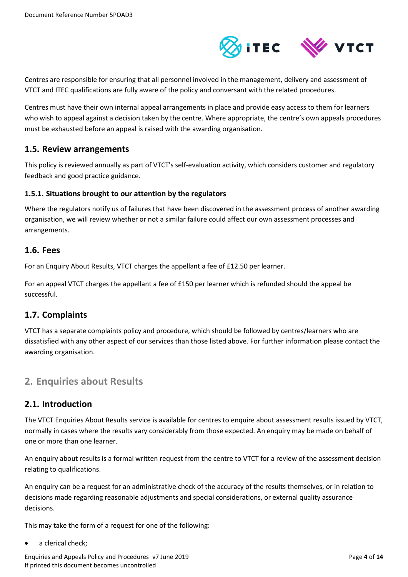

Centres are responsible for ensuring that all personnel involved in the management, delivery and assessment of VTCT and ITEC qualifications are fully aware of the policy and conversant with the related procedures.

Centres must have their own internal appeal arrangements in place and provide easy access to them for learners who wish to appeal against a decision taken by the centre. Where appropriate, the centre's own appeals procedures must be exhausted before an appeal is raised with the awarding organisation.

#### <span id="page-3-0"></span>**1.5. Review arrangements**

This policy is reviewed annually as part of VTCT's self-evaluation activity, which considers customer and regulatory feedback and good practice guidance.

#### <span id="page-3-1"></span>**1.5.1. Situations brought to our attention by the regulators**

Where the regulators notify us of failures that have been discovered in the assessment process of another awarding organisation, we will review whether or not a similar failure could affect our own assessment processes and arrangements.

#### <span id="page-3-2"></span>**1.6. Fees**

For an Enquiry About Results, VTCT charges the appellant a fee of £12.50 per learner.

For an appeal VTCT charges the appellant a fee of £150 per learner which is refunded should the appeal be successful.

#### <span id="page-3-3"></span>**1.7. Complaints**

VTCT has a separate complaints policy and procedure, which should be followed by centres/learners who are dissatisfied with any other aspect of our services than those listed above. For further information please contact the awarding organisation.

# <span id="page-3-4"></span>**2. Enquiries about Results**

#### <span id="page-3-5"></span>**2.1. Introduction**

The VTCT Enquiries About Results service is available for centres to enquire about assessment results issued by VTCT, normally in cases where the results vary considerably from those expected. An enquiry may be made on behalf of one or more than one learner.

An enquiry about results is a formal written request from the centre to VTCT for a review of the assessment decision relating to qualifications.

An enquiry can be a request for an administrative check of the accuracy of the results themselves, or in relation to decisions made regarding reasonable adjustments and special considerations, or external quality assurance decisions.

This may take the form of a request for one of the following:

a clerical check;

Enquiries and Appeals Policy and Procedures\_v7 June 2019 Page **4** of **14** If printed this document becomes uncontrolled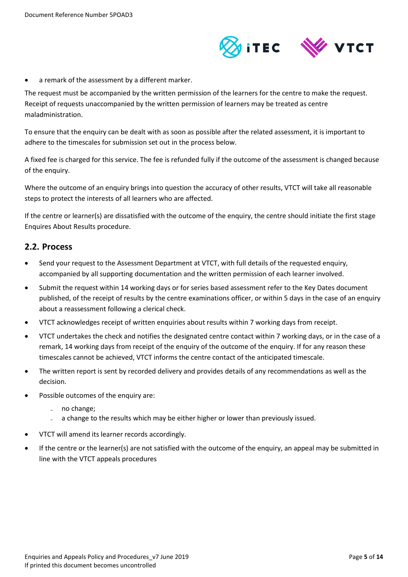

a remark of the assessment by a different marker.

The request must be accompanied by the written permission of the learners for the centre to make the request. Receipt of requests unaccompanied by the written permission of learners may be treated as centre maladministration.

To ensure that the enquiry can be dealt with as soon as possible after the related assessment, it is important to adhere to the timescales for submission set out in the process below.

A fixed fee is charged for this service. The fee is refunded fully if the outcome of the assessment is changed because of the enquiry.

Where the outcome of an enquiry brings into question the accuracy of other results, VTCT will take all reasonable steps to protect the interests of all learners who are affected.

If the centre or learner(s) are dissatisfied with the outcome of the enquiry, the centre should initiate the first stage Enquires About Results procedure.

#### <span id="page-4-0"></span>**2.2. Process**

- Send your request to the Assessment Department at VTCT, with full details of the requested enquiry, accompanied by all supporting documentation and the written permission of each learner involved.
- Submit the request within 14 working days or for series based assessment refer to the Key Dates document published, of the receipt of results by the centre examinations officer, or within 5 days in the case of an enquiry about a reassessment following a clerical check.
- VTCT acknowledges receipt of written enquiries about results within 7 working days from receipt.
- VTCT undertakes the check and notifies the designated centre contact within 7 working days, or in the case of a remark, 14 working days from receipt of the enquiry of the outcome of the enquiry. If for any reason these timescales cannot be achieved, VTCT informs the centre contact of the anticipated timescale.
- The written report is sent by recorded delivery and provides details of any recommendations as well as the decision.
- Possible outcomes of the enquiry are:
	- ̵ no change;
	- a change to the results which may be either higher or lower than previously issued.
- VTCT will amend its learner records accordingly.
- If the centre or the learner(s) are not satisfied with the outcome of the enquiry, an appeal may be submitted in line with the VTCT appeals procedures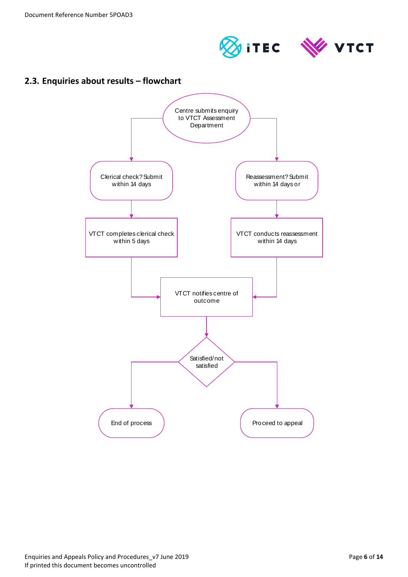



# <span id="page-5-0"></span>**2.3. Enquiries about results – flowchart**

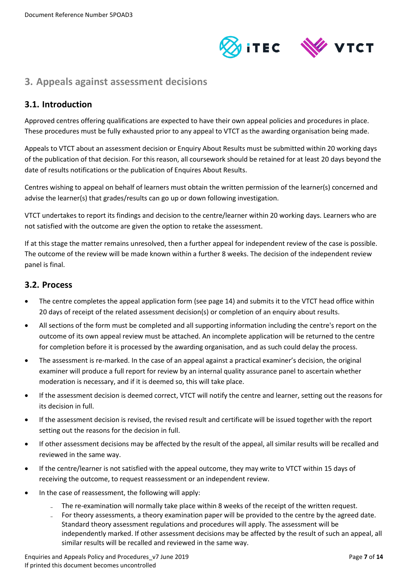

# <span id="page-6-0"></span>**3. Appeals against assessment decisions**

# <span id="page-6-1"></span>**3.1. Introduction**

Approved centres offering qualifications are expected to have their own appeal policies and procedures in place. These procedures must be fully exhausted prior to any appeal to VTCT as the awarding organisation being made.

Appeals to VTCT about an assessment decision or Enquiry About Results must be submitted within 20 working days of the publication of that decision. For this reason, all coursework should be retained for at least 20 days beyond the date of results notifications or the publication of Enquires About Results.

Centres wishing to appeal on behalf of learners must obtain the written permission of the learner(s) concerned and advise the learner(s) that grades/results can go up or down following investigation.

VTCT undertakes to report its findings and decision to the centre/learner within 20 working days. Learners who are not satisfied with the outcome are given the option to retake the assessment.

If at this stage the matter remains unresolved, then a further appeal for independent review of the case is possible. The outcome of the review will be made known within a further 8 weeks. The decision of the independent review panel is final.

#### <span id="page-6-2"></span>**3.2. Process**

- The centre completes the appeal application form (see page 14) and submits it to the VTCT head office within 20 days of receipt of the related assessment decision(s) or completion of an enquiry about results.
- All sections of the form must be completed and all supporting information including the centre's report on the outcome of its own appeal review must be attached. An incomplete application will be returned to the centre for completion before it is processed by the awarding organisation, and as such could delay the process.
- The assessment is re-marked. In the case of an appeal against a practical examiner's decision, the original examiner will produce a full report for review by an internal quality assurance panel to ascertain whether moderation is necessary, and if it is deemed so, this will take place.
- If the assessment decision is deemed correct, VTCT will notify the centre and learner, setting out the reasons for its decision in full.
- If the assessment decision is revised, the revised result and certificate will be issued together with the report setting out the reasons for the decision in full.
- If other assessment decisions may be affected by the result of the appeal, all similar results will be recalled and reviewed in the same way.
- If the centre/learner is not satisfied with the appeal outcome, they may write to VTCT within 15 days of receiving the outcome, to request reassessment or an independent review.
- In the case of reassessment, the following will apply:
	- The re-examination will normally take place within 8 weeks of the receipt of the written request.
	- For theory assessments, a theory examination paper will be provided to the centre by the agreed date. Standard theory assessment regulations and procedures will apply. The assessment will be independently marked. If other assessment decisions may be affected by the result of such an appeal, all similar results will be recalled and reviewed in the same way.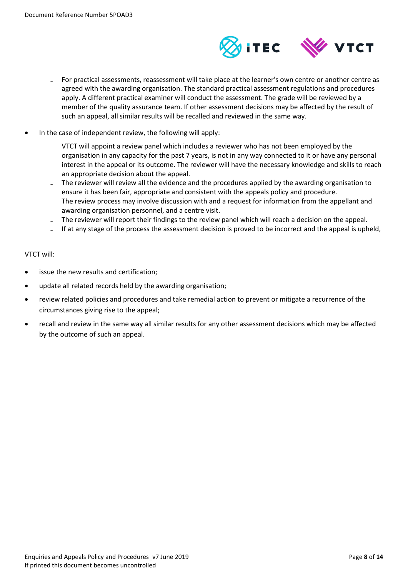

- For practical assessments, reassessment will take place at the learner's own centre or another centre as agreed with the awarding organisation. The standard practical assessment regulations and procedures apply. A different practical examiner will conduct the assessment. The grade will be reviewed by a member of the quality assurance team. If other assessment decisions may be affected by the result of such an appeal, all similar results will be recalled and reviewed in the same way.
- In the case of independent review, the following will apply:
	- ̵ VTCT will appoint a review panel which includes a reviewer who has not been employed by the organisation in any capacity for the past 7 years, is not in any way connected to it or have any personal interest in the appeal or its outcome. The reviewer will have the necessary knowledge and skills to reach an appropriate decision about the appeal.
	- The reviewer will review all the evidence and the procedures applied by the awarding organisation to ensure it has been fair, appropriate and consistent with the appeals policy and procedure.
	- The review process may involve discussion with and a request for information from the appellant and awarding organisation personnel, and a centre visit.
	- The reviewer will report their findings to the review panel which will reach a decision on the appeal.
	- If at any stage of the process the assessment decision is proved to be incorrect and the appeal is upheld,

#### VTCT will:

- issue the new results and certification;
- update all related records held by the awarding organisation;
- review related policies and procedures and take remedial action to prevent or mitigate a recurrence of the circumstances giving rise to the appeal;
- recall and review in the same way all similar results for any other assessment decisions which may be affected by the outcome of such an appeal.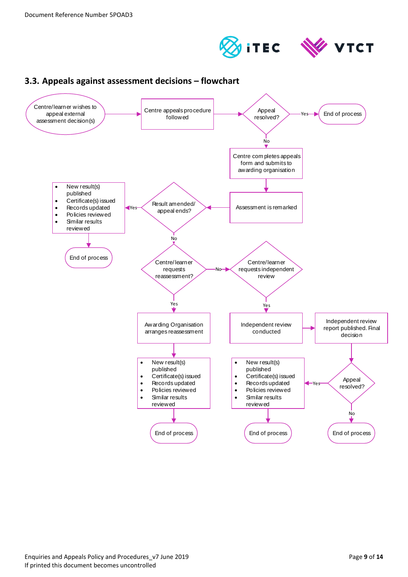



<span id="page-8-0"></span>

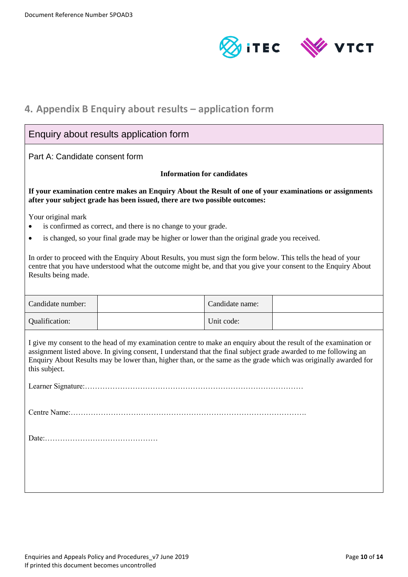

# <span id="page-9-0"></span>**4. Appendix B Enquiry about results – application form**

| Enquiry about results application form                                                                                                                                                                                                                                                                                                                                   |                                                                                              |                 |  |
|--------------------------------------------------------------------------------------------------------------------------------------------------------------------------------------------------------------------------------------------------------------------------------------------------------------------------------------------------------------------------|----------------------------------------------------------------------------------------------|-----------------|--|
| Part A: Candidate consent form                                                                                                                                                                                                                                                                                                                                           |                                                                                              |                 |  |
|                                                                                                                                                                                                                                                                                                                                                                          | <b>Information for candidates</b>                                                            |                 |  |
| If your examination centre makes an Enquiry About the Result of one of your examinations or assignments<br>after your subject grade has been issued, there are two possible outcomes:                                                                                                                                                                                    |                                                                                              |                 |  |
| Your original mark<br>is confirmed as correct, and there is no change to your grade.                                                                                                                                                                                                                                                                                     |                                                                                              |                 |  |
|                                                                                                                                                                                                                                                                                                                                                                          | is changed, so your final grade may be higher or lower than the original grade you received. |                 |  |
| In order to proceed with the Enquiry About Results, you must sign the form below. This tells the head of your<br>centre that you have understood what the outcome might be, and that you give your consent to the Enquiry About<br>Results being made.                                                                                                                   |                                                                                              |                 |  |
| Candidate number:                                                                                                                                                                                                                                                                                                                                                        |                                                                                              | Candidate name: |  |
| Qualification:                                                                                                                                                                                                                                                                                                                                                           |                                                                                              | Unit code:      |  |
| I give my consent to the head of my examination centre to make an enquiry about the result of the examination or<br>assignment listed above. In giving consent, I understand that the final subject grade awarded to me following an<br>Enquiry About Results may be lower than, higher than, or the same as the grade which was originally awarded for<br>this subject. |                                                                                              |                 |  |
|                                                                                                                                                                                                                                                                                                                                                                          |                                                                                              |                 |  |
|                                                                                                                                                                                                                                                                                                                                                                          |                                                                                              |                 |  |
|                                                                                                                                                                                                                                                                                                                                                                          |                                                                                              |                 |  |
|                                                                                                                                                                                                                                                                                                                                                                          |                                                                                              |                 |  |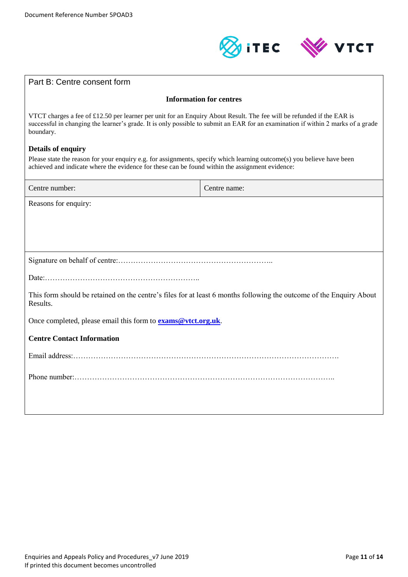

| Part B: Centre consent form                                                                                                                                                                                                                                            |              |  |  |
|------------------------------------------------------------------------------------------------------------------------------------------------------------------------------------------------------------------------------------------------------------------------|--------------|--|--|
| <b>Information for centres</b>                                                                                                                                                                                                                                         |              |  |  |
| VTCT charges a fee of £12.50 per learner per unit for an Enquiry About Result. The fee will be refunded if the EAR is<br>successful in changing the learner's grade. It is only possible to submit an EAR for an examination if within 2 marks of a grade<br>boundary. |              |  |  |
| <b>Details of enquiry</b><br>Please state the reason for your enquiry e.g. for assignments, specify which learning outcome(s) you believe have been<br>achieved and indicate where the evidence for these can be found within the assignment evidence:                 |              |  |  |
| Centre number:                                                                                                                                                                                                                                                         | Centre name: |  |  |
| Reasons for enquiry:                                                                                                                                                                                                                                                   |              |  |  |
|                                                                                                                                                                                                                                                                        |              |  |  |
|                                                                                                                                                                                                                                                                        |              |  |  |
| This form should be retained on the centre's files for at least 6 months following the outcome of the Enquiry About<br>Results.                                                                                                                                        |              |  |  |
| Once completed, please email this form to <b>exams@vtct.org.uk</b> .                                                                                                                                                                                                   |              |  |  |
| <b>Centre Contact Information</b>                                                                                                                                                                                                                                      |              |  |  |
|                                                                                                                                                                                                                                                                        |              |  |  |
|                                                                                                                                                                                                                                                                        |              |  |  |
|                                                                                                                                                                                                                                                                        |              |  |  |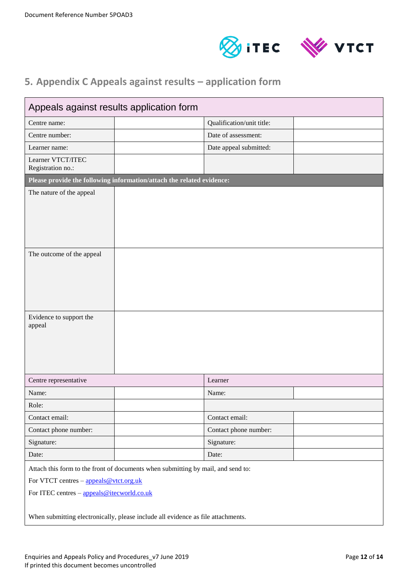



# <span id="page-11-0"></span>**5. Appendix C Appeals against results – application form**

| Appeals against results application form                                                                                                                                                                                                                     |                           |  |
|--------------------------------------------------------------------------------------------------------------------------------------------------------------------------------------------------------------------------------------------------------------|---------------------------|--|
| Centre name:                                                                                                                                                                                                                                                 | Qualification/unit title: |  |
| Centre number:                                                                                                                                                                                                                                               | Date of assessment:       |  |
| Learner name:                                                                                                                                                                                                                                                | Date appeal submitted:    |  |
| Learner VTCT/ITEC<br>Registration no.:                                                                                                                                                                                                                       |                           |  |
| Please provide the following information/attach the related evidence:                                                                                                                                                                                        |                           |  |
| The nature of the appeal                                                                                                                                                                                                                                     |                           |  |
| The outcome of the appeal                                                                                                                                                                                                                                    |                           |  |
| Evidence to support the<br>appeal                                                                                                                                                                                                                            |                           |  |
| Centre representative                                                                                                                                                                                                                                        | Learner                   |  |
| Name:                                                                                                                                                                                                                                                        | Name:                     |  |
| Role:                                                                                                                                                                                                                                                        |                           |  |
| Contact email:                                                                                                                                                                                                                                               | Contact email:            |  |
| Contact phone number:                                                                                                                                                                                                                                        | Contact phone number:     |  |
| Signature:                                                                                                                                                                                                                                                   | Signature:                |  |
| Date:                                                                                                                                                                                                                                                        | Date:                     |  |
| Attach this form to the front of documents when submitting by mail, and send to:<br>For VTCT centres - appeals@vtct.org.uk<br>For ITEC centres - appeals@itecworld.co.uk<br>When submitting electronically, please include all evidence as file attachments. |                           |  |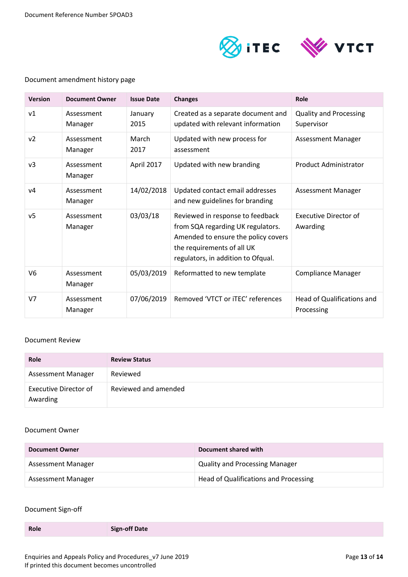

#### Document amendment history page

| <b>Version</b> | <b>Document Owner</b> | <b>Issue Date</b> | <b>Changes</b>                                                                                                                                                                   | Role                                        |
|----------------|-----------------------|-------------------|----------------------------------------------------------------------------------------------------------------------------------------------------------------------------------|---------------------------------------------|
| V <sub>1</sub> | Assessment<br>Manager | January<br>2015   | Created as a separate document and<br>updated with relevant information                                                                                                          | <b>Quality and Processing</b><br>Supervisor |
| v <sub>2</sub> | Assessment<br>Manager | March<br>2017     | Updated with new process for<br>assessment                                                                                                                                       | Assessment Manager                          |
| $v_3$          | Assessment<br>Manager | April 2017        | Updated with new branding                                                                                                                                                        | <b>Product Administrator</b>                |
| V <sub>4</sub> | Assessment<br>Manager | 14/02/2018        | Updated contact email addresses<br>and new guidelines for branding                                                                                                               | <b>Assessment Manager</b>                   |
| v <sub>5</sub> | Assessment<br>Manager | 03/03/18          | Reviewed in response to feedback<br>from SQA regarding UK regulators.<br>Amended to ensure the policy covers<br>the requirements of all UK<br>regulators, in addition to Ofqual. | <b>Executive Director of</b><br>Awarding    |
| V <sub>6</sub> | Assessment<br>Manager | 05/03/2019        | Reformatted to new template                                                                                                                                                      | <b>Compliance Manager</b>                   |
| V <sub>7</sub> | Assessment<br>Manager | 07/06/2019        | Removed 'VTCT or iTEC' references                                                                                                                                                | Head of Qualifications and<br>Processing    |

#### Document Review

| Role                              | <b>Review Status</b> |
|-----------------------------------|----------------------|
| Assessment Manager                | Reviewed             |
| Executive Director of<br>Awarding | Reviewed and amended |

#### Document Owner

| <b>Document Owner</b> | Document shared with                  |
|-----------------------|---------------------------------------|
| Assessment Manager    | <b>Quality and Processing Manager</b> |
| Assessment Manager    | Head of Qualifications and Processing |

#### Document Sign-off

**Role Sign-off Date**